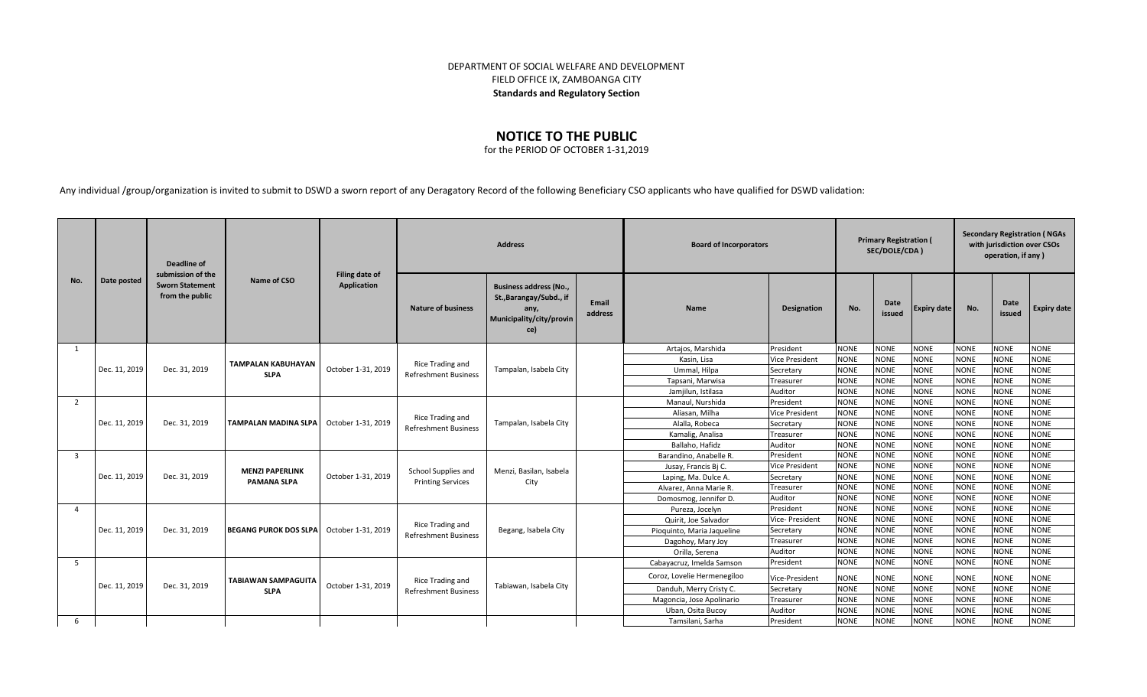## DEPARTMENT OF SOCIAL WELFARE AND DEVELOPMENT FIELD OFFICE IX, ZAMBOANGA CITY **Standards and Regulatory Section**

## **NOTICE TO THE PUBLIC**

for the PERIOD OF OCTOBER 1-31,2019

Any individual /group/organization is invited to submit to DSWD a sworn report of any Deragatory Record of the following Beneficiary CSO applicants who have qualified for DSWD validation:

|                | Date posted   | Deadline of<br>submission of the<br><b>Sworn Statement</b><br>from the public | Name of CSO                              | <b>Filing date of</b><br>Application | <b>Address</b>                                  |                                                                                                     |                  |                             | <b>Board of Incorporators</b> |             |                | <b>Primary Registration (</b><br>SEC/DOLE/CDA) |             |                | <b>Secondary Registration (NGAs</b><br>with jurisdiction over CSOs<br>operation, if any) |  |  |
|----------------|---------------|-------------------------------------------------------------------------------|------------------------------------------|--------------------------------------|-------------------------------------------------|-----------------------------------------------------------------------------------------------------|------------------|-----------------------------|-------------------------------|-------------|----------------|------------------------------------------------|-------------|----------------|------------------------------------------------------------------------------------------|--|--|
| No.            |               |                                                                               |                                          |                                      | <b>Nature of business</b>                       | <b>Business address (No.,</b><br>St., Barangay/Subd., if<br>any,<br>Municipality/city/provin<br>ce) | Email<br>address | <b>Name</b>                 | <b>Designation</b>            | No.         | Date<br>issued | Expiry date                                    | No.         | Date<br>issued | <b>Expiry date</b>                                                                       |  |  |
| -1             |               |                                                                               |                                          | October 1-31, 2019                   | Rice Trading and<br><b>Refreshment Business</b> | Tampalan, Isabela City                                                                              |                  | Artajos, Marshida           | President                     | <b>NONE</b> | <b>NONE</b>    | <b>NONE</b>                                    | <b>NONE</b> | <b>NONE</b>    | <b>NONE</b>                                                                              |  |  |
|                |               |                                                                               | <b>TAMPALAN KABUHAYAN</b><br><b>SLPA</b> |                                      |                                                 |                                                                                                     |                  | Kasin, Lisa                 | <b>Vice President</b>         | <b>NONE</b> | <b>NONE</b>    | <b>NONE</b>                                    | <b>NONE</b> | <b>NONE</b>    | <b>NONE</b>                                                                              |  |  |
|                | Dec. 11, 2019 | Dec. 31, 2019                                                                 |                                          |                                      |                                                 |                                                                                                     |                  | Ummal, Hilpa                | Secretary                     | <b>NONE</b> | <b>NONE</b>    | <b>NONE</b>                                    | <b>NONE</b> | <b>NONE</b>    | <b>NONE</b>                                                                              |  |  |
|                |               |                                                                               |                                          |                                      |                                                 |                                                                                                     |                  | Tapsani, Marwisa            | Treasurer                     | <b>NONE</b> | <b>NONE</b>    | <b>NONE</b>                                    | <b>NONE</b> | <b>NONE</b>    | <b>NONE</b>                                                                              |  |  |
|                |               |                                                                               |                                          |                                      |                                                 |                                                                                                     |                  | Jamjilun, Istilasa          | Auditor                       | <b>NONE</b> | <b>NONE</b>    | <b>NONE</b>                                    | <b>NONE</b> | <b>NONE</b>    | <b>NONE</b>                                                                              |  |  |
| 2              |               |                                                                               |                                          | October 1-31, 2019                   | Rice Trading and<br><b>Refreshment Business</b> | Tampalan, Isabela City                                                                              |                  | Manaul, Nurshida            | President                     | <b>NONE</b> | <b>NONE</b>    | <b>NONE</b>                                    | <b>NONE</b> | <b>NONE</b>    | <b>NONE</b>                                                                              |  |  |
|                |               |                                                                               |                                          |                                      |                                                 |                                                                                                     |                  | Aliasan, Milha              | <b>Vice President</b>         | <b>NONE</b> | <b>NONE</b>    | <b>NONE</b>                                    | <b>NONE</b> | <b>NONE</b>    | <b>NONE</b>                                                                              |  |  |
|                | Dec. 11, 2019 | Dec. 31, 2019                                                                 | <b>TAMPALAN MADINA SLPA</b>              |                                      |                                                 |                                                                                                     |                  | Alalla, Robeca              | Secretary                     | <b>NONE</b> | <b>NONE</b>    | <b>NONE</b>                                    | <b>NONE</b> | <b>NONE</b>    | <b>NONE</b>                                                                              |  |  |
|                |               |                                                                               |                                          |                                      |                                                 |                                                                                                     |                  | Kamalig, Analisa            | Treasurer                     | <b>NONE</b> | <b>NONE</b>    | <b>NONE</b>                                    | <b>NONE</b> | <b>NONE</b>    | <b>NONE</b>                                                                              |  |  |
|                |               |                                                                               |                                          |                                      |                                                 |                                                                                                     |                  | Ballaho. Hafidz             | Auditor                       | <b>NONE</b> | <b>NONE</b>    | <b>NONE</b>                                    | <b>NONE</b> | <b>NONE</b>    | <b>NONE</b>                                                                              |  |  |
| $\overline{3}$ |               | Dec. 31, 2019                                                                 |                                          |                                      | School Supplies and<br><b>Printing Services</b> | Menzi, Basilan, Isabela<br>City                                                                     |                  | Barandino, Anabelle R.      | President                     | <b>NONE</b> | <b>NONE</b>    | <b>NONE</b>                                    | <b>NONE</b> | <b>NONE</b>    | <b>NONE</b>                                                                              |  |  |
|                |               |                                                                               | <b>MENZI PAPERLINK</b>                   |                                      |                                                 |                                                                                                     |                  | Jusay, Francis Bj C.        | <b>Vice President</b>         | <b>NONE</b> | <b>NONE</b>    | <b>NONE</b>                                    | <b>NONE</b> | <b>NONE</b>    | <b>NONE</b>                                                                              |  |  |
|                | Dec. 11, 2019 |                                                                               | <b>PAMANA SLPA</b>                       | October 1-31, 2019                   |                                                 |                                                                                                     |                  | Laping, Ma. Dulce A.        | Secretary                     | <b>NONE</b> | <b>NONE</b>    | <b>NONE</b>                                    | <b>NONE</b> | <b>NONE</b>    | <b>NONE</b>                                                                              |  |  |
|                |               |                                                                               |                                          |                                      |                                                 |                                                                                                     |                  | Alvarez, Anna Marie R.      | Treasurer                     | <b>NONE</b> | <b>NONE</b>    | <b>NONE</b>                                    | <b>NONE</b> | <b>NONE</b>    | <b>NONE</b>                                                                              |  |  |
|                |               |                                                                               |                                          |                                      |                                                 |                                                                                                     |                  | Domosmog, Jennifer D.       | Auditor                       | <b>NONE</b> | <b>NONE</b>    | <b>NONE</b>                                    | <b>NONE</b> | <b>NONE</b>    | <b>NONE</b>                                                                              |  |  |
| $\overline{a}$ |               | Dec. 31, 2019                                                                 |                                          |                                      |                                                 | Begang, Isabela City                                                                                |                  | Pureza, Jocelyn             | President                     | <b>NONE</b> | <b>NONE</b>    | <b>NONE</b>                                    | <b>NONE</b> | <b>NONE</b>    | <b>NONE</b>                                                                              |  |  |
|                |               |                                                                               |                                          |                                      | Rice Trading and                                |                                                                                                     |                  | Quirit, Joe Salvador        | Vice- President               | <b>NONE</b> | <b>NONE</b>    | <b>NONE</b>                                    | <b>NONE</b> | <b>NONE</b>    | <b>NONE</b>                                                                              |  |  |
|                | Dec. 11, 2019 |                                                                               | <b>IBEGANG PUROK DOS SLPA</b>            | October 1-31, 2019                   | <b>Refreshment Business</b>                     |                                                                                                     |                  | Pioquinto, Maria Jaqueline  | Secretary                     | <b>NONE</b> | <b>NONE</b>    | <b>NONE</b>                                    | <b>NONE</b> | <b>NONE</b>    | <b>NONE</b>                                                                              |  |  |
|                |               |                                                                               |                                          |                                      |                                                 |                                                                                                     |                  | Dagohoy, Mary Joy           | Treasurer                     | <b>NONE</b> | <b>NONE</b>    | <b>NONE</b>                                    | <b>NONE</b> | <b>NONE</b>    | <b>NONE</b>                                                                              |  |  |
|                |               |                                                                               |                                          |                                      |                                                 |                                                                                                     |                  | Orilla, Serena              | Auditor                       | <b>NONE</b> | <b>NONE</b>    | <b>NONE</b>                                    | <b>NONE</b> | <b>NONE</b>    | <b>NONE</b>                                                                              |  |  |
| - 5            |               |                                                                               |                                          |                                      |                                                 |                                                                                                     |                  | Cabayacruz, Imelda Samson   | President                     | <b>NONE</b> | <b>NONE</b>    | <b>NONE</b>                                    | <b>NONE</b> | <b>NONE</b>    | <b>NONE</b>                                                                              |  |  |
|                |               |                                                                               | <b>TABIAWAN SAMPAGUITA</b>               |                                      | Rice Trading and                                |                                                                                                     |                  | Coroz, Lovelie Hermenegiloo | Vice-President                | <b>NONE</b> | <b>NONE</b>    | <b>NONE</b>                                    | <b>NONE</b> | <b>NONE</b>    | <b>NONE</b>                                                                              |  |  |
|                | Dec. 11, 2019 | Dec. 31, 2019                                                                 | <b>SLPA</b>                              | October 1-31, 2019                   | <b>Refreshment Business</b>                     | Tabiawan, Isabela City                                                                              |                  | Danduh, Merry Cristy C.     | Secretary                     | <b>NONE</b> | <b>NONE</b>    | <b>NONE</b>                                    | <b>NONE</b> | <b>NONE</b>    | <b>NONE</b>                                                                              |  |  |
|                |               |                                                                               |                                          |                                      |                                                 |                                                                                                     |                  | Magoncia, Jose Apolinario   | Treasurer                     | <b>NONE</b> | <b>NONE</b>    | <b>NONE</b>                                    | <b>NONE</b> | <b>NONE</b>    | <b>NONE</b>                                                                              |  |  |
|                |               |                                                                               |                                          |                                      |                                                 |                                                                                                     |                  | Uban, Osita Bucoy           | Auditor                       | <b>NONE</b> | <b>NONE</b>    | <b>NONE</b>                                    | <b>NONE</b> | <b>NONE</b>    | <b>NONE</b>                                                                              |  |  |
| $\mathsf{6}$   |               |                                                                               |                                          |                                      |                                                 |                                                                                                     |                  | Tamsilani, Sarha            | President                     | <b>NONE</b> | <b>NONE</b>    | <b>NONE</b>                                    | <b>NONE</b> | <b>NONE</b>    | <b>NONE</b>                                                                              |  |  |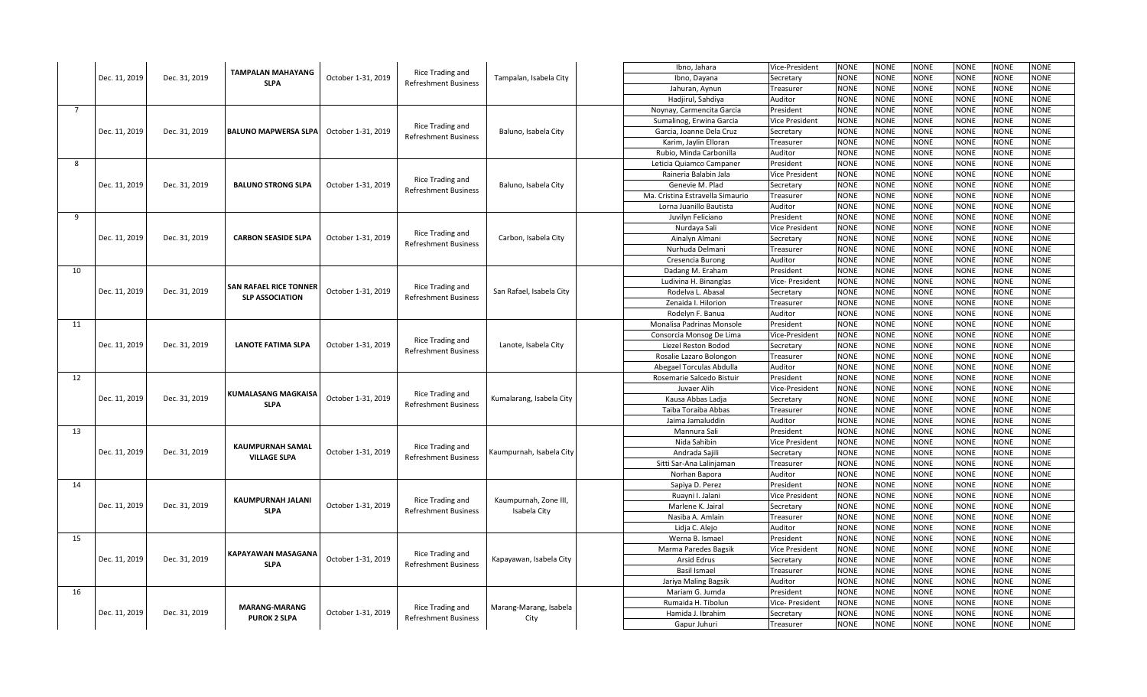|                | Dec. 11, 2019 |               | <b>TAMPALAN MAHAYANG</b>                         | October 1-31, 2019 | Rice Trading and                                | Tampalan, Isabela City         | Ibno, Jahara                     | Vice-President        | <b>NONE</b> | <b>NONE</b> | <b>NONE</b> | <b>NONE</b> | <b>NONE</b> | <b>NONE</b> |
|----------------|---------------|---------------|--------------------------------------------------|--------------------|-------------------------------------------------|--------------------------------|----------------------------------|-----------------------|-------------|-------------|-------------|-------------|-------------|-------------|
|                |               | Dec. 31, 2019 |                                                  |                    |                                                 |                                | Ibno, Dayana                     | Secretary             | <b>NONE</b> | <b>NONE</b> | <b>NONE</b> | <b>NONE</b> | <b>NONE</b> | <b>NONE</b> |
|                |               |               | <b>SLPA</b>                                      |                    | <b>Refreshment Business</b>                     |                                | Jahuran, Aynun                   | Treasurer             | <b>NONE</b> | <b>NONE</b> | <b>NONE</b> | <b>NONE</b> | <b>NONE</b> | <b>NONE</b> |
|                |               |               |                                                  |                    |                                                 |                                | Hadjirul, Sahdiya                | Auditor               | <b>NONE</b> | <b>NONE</b> | <b>NONE</b> | <b>NONE</b> | <b>NONE</b> | <b>NONE</b> |
| $\overline{7}$ |               |               |                                                  |                    |                                                 |                                | Noynay, Carmencita Garcia        | President             | <b>NONE</b> | <b>NONE</b> | <b>NONE</b> | <b>NONE</b> | <b>NONE</b> | <b>NONE</b> |
|                |               |               |                                                  |                    |                                                 |                                | Sumalinog, Erwina Garcia         | <b>Vice President</b> | <b>NONE</b> | <b>NONE</b> | <b>NONE</b> | <b>NONE</b> | <b>NONE</b> | <b>NONE</b> |
|                | Dec. 11, 2019 | Dec. 31, 2019 | <b>BALUNO MAPWERSA SLPA</b>                      | October 1-31, 2019 | Rice Trading and                                | Baluno, Isabela City           | Garcia, Joanne Dela Cruz         | Secretary             | <b>NONE</b> | <b>NONE</b> | <b>NONE</b> | <b>NONE</b> | <b>NONE</b> | <b>NONE</b> |
|                |               |               |                                                  |                    | <b>Refreshment Business</b>                     |                                | Karim, Jaylin Elloran            | Treasurer             | <b>NONE</b> | <b>NONE</b> | <b>NONE</b> | <b>NONE</b> | <b>NONE</b> | <b>NONE</b> |
|                |               |               |                                                  |                    |                                                 |                                | Rubio, Minda Carbonilla          | Auditor               | <b>NONE</b> | <b>NONE</b> | <b>NONE</b> | <b>NONE</b> | <b>NONE</b> | <b>NONE</b> |
| 8              |               |               |                                                  |                    |                                                 |                                | Leticia Quiamco Campaner         | President             | <b>NONE</b> | <b>NONE</b> | <b>NONE</b> | <b>NONE</b> | <b>NONE</b> | <b>NONE</b> |
|                |               |               |                                                  |                    |                                                 |                                | Raineria Balabin Jala            | <b>Vice President</b> | <b>NONE</b> | <b>NONE</b> | <b>NONE</b> | <b>NONE</b> | <b>NONE</b> | <b>NONE</b> |
|                | Dec. 11, 2019 | Dec. 31, 2019 | <b>BALUNO STRONG SLPA</b>                        | October 1-31, 2019 | Rice Trading and                                |                                |                                  |                       | <b>NONE</b> | <b>NONE</b> |             | <b>NONE</b> | <b>NONE</b> | <b>NONE</b> |
|                |               |               |                                                  |                    | <b>Refreshment Business</b>                     | Baluno, Isabela City           | Genevie M. Plad                  | Secretary             |             |             | <b>NONE</b> |             |             |             |
|                |               |               |                                                  |                    |                                                 |                                | Ma. Cristina Estravella Simaurio | Treasurer             | <b>NONE</b> | <b>NONE</b> | <b>NONE</b> | <b>NONE</b> | <b>NONE</b> | <b>NONE</b> |
|                |               |               |                                                  |                    |                                                 |                                | Lorna Juanillo Bautista          | Auditor               | <b>NONE</b> | <b>NONE</b> | <b>NONE</b> | <b>NONE</b> | <b>NONE</b> | <b>NONE</b> |
| 9              |               |               |                                                  |                    |                                                 |                                | Juvilyn Feliciano                | President             | <b>NONE</b> | <b>NONE</b> | <b>NONE</b> | <b>NONE</b> | <b>NONE</b> | <b>NONE</b> |
|                |               |               |                                                  |                    | Rice Trading and                                |                                | Nurdaya Sali                     | <b>Vice President</b> | <b>NONE</b> | <b>NONE</b> | <b>NONE</b> | <b>NONE</b> | NONE        | <b>NONE</b> |
|                | Dec. 11, 2019 | Dec. 31, 2019 | <b>CARBON SEASIDE SLPA</b>                       | October 1-31, 2019 | <b>Refreshment Business</b>                     | Carbon, Isabela City           | Ainalyn Almani                   | Secretary             | <b>NONE</b> | <b>NONE</b> | <b>NONE</b> | <b>NONE</b> | <b>NONE</b> | <b>NONE</b> |
|                |               |               |                                                  |                    |                                                 |                                | Nurhuda Delmani                  | Treasurer             | <b>NONE</b> | <b>NONE</b> | <b>NONE</b> | <b>NONE</b> | <b>NONE</b> | <b>NONE</b> |
|                |               |               |                                                  |                    |                                                 |                                | Cresencia Burong                 | Auditor               | <b>NONE</b> | <b>NONE</b> | <b>NONE</b> | <b>NONE</b> | <b>NONE</b> | <b>NONE</b> |
| 10             | Dec. 11, 2019 | Dec. 31, 2019 | SAN RAFAEL RICE TONNER<br><b>SLP ASSOCIATION</b> | October 1-31, 2019 | Rice Trading and<br><b>Refreshment Business</b> | San Rafael, Isabela City       | Dadang M. Eraham                 | President             | <b>NONE</b> | <b>NONE</b> | <b>NONE</b> | <b>NONE</b> | <b>NONE</b> | <b>NONE</b> |
|                |               |               |                                                  |                    |                                                 |                                | Ludivina H. Binanglas            | Vice- President       | <b>NONE</b> | <b>NONE</b> | <b>NONE</b> | <b>NONE</b> | <b>NONE</b> | <b>NONE</b> |
|                |               |               |                                                  |                    |                                                 |                                | Rodelva L. Abasal                | Secretary             | <b>NONE</b> | NONE        | <b>NONE</b> | <b>NONE</b> | <b>NONE</b> | <b>NONE</b> |
|                |               |               |                                                  |                    |                                                 |                                | Zenaida I. Hilorion              | Treasurer             | <b>NONE</b> | <b>NONE</b> | <b>NONE</b> | <b>NONE</b> | <b>NONE</b> | <b>NONE</b> |
|                |               |               |                                                  |                    |                                                 |                                | Rodelyn F. Banua                 | Auditor               | <b>NONE</b> | <b>NONE</b> | <b>NONE</b> | <b>NONE</b> | <b>NONE</b> | <b>NONE</b> |
| 11             |               |               |                                                  | October 1-31, 2019 | Rice Trading and<br><b>Refreshment Business</b> | Lanote, Isabela City           | Monalisa Padrinas Monsole        | President             | <b>NONE</b> | <b>NONE</b> | <b>NONE</b> | <b>NONE</b> | NONE        | <b>NONE</b> |
|                |               |               |                                                  |                    |                                                 |                                | Consorcia Monsog De Lima         | Vice-President        | <b>NONE</b> | <b>NONE</b> | <b>NONE</b> | <b>NONE</b> | <b>NONE</b> | <b>NONE</b> |
|                | Dec. 11, 2019 | Dec. 31, 2019 | <b>LANOTE FATIMA SLPA</b>                        |                    |                                                 |                                | Liezel Reston Bodod              | Secretary             | <b>NONE</b> | NONE        | <b>NONE</b> | <b>NONE</b> | <b>NONE</b> | <b>NONE</b> |
|                |               |               |                                                  |                    |                                                 |                                | Rosalie Lazaro Bolongon          | Treasurer             | <b>NONE</b> | <b>NONE</b> | <b>NONE</b> | <b>NONE</b> | <b>NONE</b> | <b>NONE</b> |
|                |               |               |                                                  |                    |                                                 |                                | Abegael Torculas Abdulla         | Auditor               | <b>NONE</b> | <b>NONE</b> | <b>NONE</b> | <b>NONE</b> | <b>NONE</b> | <b>NONE</b> |
| 12             |               |               |                                                  | October 1-31, 2019 | Rice Trading and<br><b>Refreshment Business</b> | Kumalarang, Isabela City       | Rosemarie Salcedo Bistuir        | President             | <b>NONE</b> | <b>NONE</b> | <b>NONE</b> | <b>NONE</b> | <b>NONE</b> | <b>NONE</b> |
|                |               |               | <b>KUMALASANG MAGKAISA</b>                       |                    |                                                 |                                | Juvaer Alih                      | Vice-President        | <b>NONE</b> | <b>NONE</b> | <b>NONE</b> | <b>NONE</b> | <b>NONE</b> | <b>NONE</b> |
|                | Dec. 11, 2019 | Dec. 31, 2019 | <b>SLPA</b>                                      |                    |                                                 |                                | Kausa Abbas Ladja                | Secretary             | <b>NONE</b> | <b>NONE</b> | <b>NONE</b> | <b>NONE</b> | <b>NONE</b> | <b>NONE</b> |
|                |               |               |                                                  |                    |                                                 |                                | Taiba Toraiba Abbas              | Treasurer             | <b>NONE</b> | <b>NONE</b> | <b>NONE</b> | <b>NONE</b> | <b>NONE</b> | <b>NONE</b> |
|                |               |               |                                                  |                    |                                                 |                                | Jaima Jamaluddin                 | Auditor               | <b>NONE</b> | <b>NONE</b> | <b>NONE</b> | <b>NONE</b> | <b>NONE</b> | <b>NONE</b> |
| 13             | Dec. 11, 2019 | Dec. 31, 2019 | <b>KAUMPURNAH SAMAL</b>                          | October 1-31, 2019 | Rice Trading and                                | Kaumpurnah, Isabela City       | Mannura Sali                     | President             | <b>NONE</b> | <b>NONE</b> | <b>NONE</b> | <b>NONE</b> | <b>NONE</b> | <b>NONE</b> |
|                |               |               |                                                  |                    |                                                 |                                | Nida Sahibin                     | <b>Vice President</b> | <b>NONE</b> | <b>NONE</b> | <b>NONE</b> | <b>NONE</b> | <b>NONE</b> | <b>NONE</b> |
|                |               |               |                                                  |                    |                                                 |                                | Andrada Sajili                   | Secretary             | <b>NONE</b> | <b>NONE</b> | <b>NONE</b> | <b>NONE</b> | <b>NONE</b> | <b>NONE</b> |
|                |               |               | <b>VILLAGE SLPA</b>                              |                    | <b>Refreshment Business</b>                     |                                | Sitti Sar-Ana Lalinjaman         | Treasurer             | <b>NONE</b> | NONE        | <b>NONE</b> | <b>NONE</b> | <b>NONE</b> | <b>NONE</b> |
|                |               |               |                                                  |                    |                                                 |                                | Norhan Bapora                    | Auditor               | <b>NONE</b> | <b>NONE</b> | <b>NONE</b> | <b>NONE</b> | <b>NONE</b> | <b>NONE</b> |
| 14             |               |               |                                                  |                    |                                                 |                                | Sapiya D. Perez                  | President             | <b>NONE</b> | <b>NONE</b> | <b>NONE</b> | <b>NONE</b> | <b>NONE</b> | <b>NONE</b> |
|                | Dec. 11, 2019 | Dec. 31, 2019 |                                                  |                    |                                                 |                                | Ruayni I. Jalani                 | <b>Vice President</b> | <b>NONE</b> | <b>NONE</b> | <b>NONE</b> | <b>NONE</b> | <b>NONE</b> | <b>NONE</b> |
|                |               |               | KAUMPURNAH JALANI                                | October 1-31, 2019 | Rice Trading and                                | Kaumpurnah, Zone III,          | Marlene K. Jairal                | Secretary             | <b>NONE</b> | <b>NONE</b> | <b>NONE</b> | <b>NONE</b> | <b>NONE</b> | <b>NONE</b> |
|                |               |               | <b>SLPA</b>                                      |                    | <b>Refreshment Business</b>                     | Isabela City                   | Nasiba A. Amlain                 | Treasurer             | <b>NONE</b> | <b>NONE</b> | <b>NONE</b> | <b>NONE</b> | <b>NONE</b> | <b>NONE</b> |
|                |               |               |                                                  |                    |                                                 |                                | Lidja C. Alejo                   | Auditor               | <b>NONE</b> | <b>NONE</b> | <b>NONE</b> | <b>NONE</b> | <b>NONE</b> | <b>NONE</b> |
| 15             |               | Dec. 31, 2019 | KAPAYAWAN MASAGANA                               |                    |                                                 |                                | Werna B. Ismael                  | President             | <b>NONE</b> | <b>NONE</b> | <b>NONE</b> | <b>NONE</b> | <b>NONE</b> | <b>NONE</b> |
|                |               |               |                                                  |                    |                                                 |                                | Marma Paredes Bagsik             | <b>Vice President</b> | <b>NONE</b> | <b>NONE</b> | <b>NONE</b> | <b>NONE</b> | <b>NONE</b> | <b>NONE</b> |
|                | Dec. 11, 2019 |               |                                                  | October 1-31, 2019 | Rice Trading and                                | Kapayawan, Isabela City        | <b>Arsid Edrus</b>               | Secretary             | <b>NONE</b> | <b>NONE</b> | <b>NONE</b> | <b>NONE</b> | <b>NONE</b> | <b>NONE</b> |
|                |               |               | <b>SLPA</b>                                      |                    | <b>Refreshment Business</b>                     |                                | <b>Basil Ismael</b>              | Treasurer             | <b>NONE</b> | <b>NONE</b> | <b>NONE</b> | <b>NONE</b> | <b>NONE</b> | <b>NONE</b> |
|                |               |               |                                                  |                    |                                                 |                                | Jariya Maling Bagsik             | Auditor               | <b>NONE</b> | <b>NONE</b> | <b>NONE</b> | <b>NONE</b> | <b>NONE</b> | <b>NONE</b> |
| 16             |               |               |                                                  |                    |                                                 |                                | Mariam G. Jumda                  | President             | NONE        | <b>NONE</b> | <b>NONE</b> | <b>NONE</b> | <b>NONE</b> | <b>NONE</b> |
|                |               | Dec. 31, 2019 | <b>MARANG-MARANG</b><br><b>PUROK 2 SLPA</b>      | October 1-31, 2019 | Rice Trading and<br><b>Refreshment Business</b> |                                | Rumaida H. Tibolun               | Vice- President       | NONE        | <b>NONE</b> | NONE        | <b>NONE</b> | NONE        | <b>NONE</b> |
|                | Dec. 11, 2019 |               |                                                  |                    |                                                 | Marang-Marang, Isabela<br>City | Hamida J. Ibrahim                | Secretary             | <b>NONE</b> | <b>NONE</b> | <b>NONE</b> | <b>NONE</b> | <b>NONE</b> | <b>NONE</b> |
|                |               |               |                                                  |                    |                                                 |                                | Gapur Juhuri                     | Treasurer             | <b>NONE</b> | <b>NONE</b> | <b>NONE</b> | <b>NONE</b> | <b>NONE</b> | <b>NONE</b> |
|                |               |               |                                                  |                    |                                                 |                                |                                  |                       |             |             |             |             |             |             |